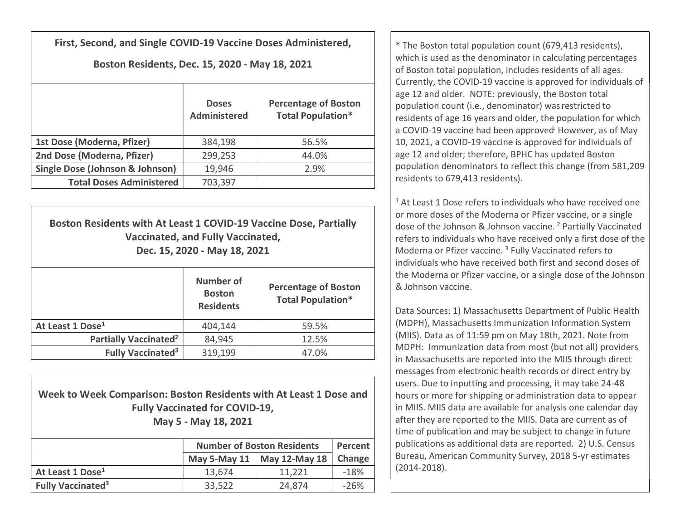First, Second, and Single COVID-19 Vaccine Doses Administered,

## Boston Residents, Dec. 15, 2020 - May 18, 2021

|                                            | <b>Doses</b><br><b>Administered</b> | <b>Percentage of Boston</b><br><b>Total Population*</b> |
|--------------------------------------------|-------------------------------------|---------------------------------------------------------|
| 1st Dose (Moderna, Pfizer)                 | 384,198                             | 56.5%                                                   |
| 2nd Dose (Moderna, Pfizer)                 | 299,253                             | 44.0%                                                   |
| <b>Single Dose (Johnson &amp; Johnson)</b> | 19,946                              | 2.9%                                                    |
| <b>Total Doses Administered</b>            | 703,397                             |                                                         |

| Boston Residents with At Least 1 COVID-19 Vaccine Dose, Partially<br><b>Vaccinated, and Fully Vaccinated,</b><br>Dec. 15, 2020 - May 18, 2021 |                                                       |                                                         |  |  |  |
|-----------------------------------------------------------------------------------------------------------------------------------------------|-------------------------------------------------------|---------------------------------------------------------|--|--|--|
|                                                                                                                                               | <b>Number of</b><br><b>Boston</b><br><b>Residents</b> | <b>Percentage of Boston</b><br><b>Total Population*</b> |  |  |  |
| At Least 1 Dose <sup>1</sup>                                                                                                                  | 404,144                                               | 59.5%                                                   |  |  |  |
| Partially Vaccinated <sup>2</sup>                                                                                                             | 84,945                                                | 12.5%                                                   |  |  |  |
| <b>Fully Vaccinated<sup>3</sup></b>                                                                                                           | 319,199                                               | 47.0%                                                   |  |  |  |

## Week to Week Comparison: Boston Residents with At Least 1 Dose and Fully Vaccinated for COVID-19, May 5 - May 18, 2021

|                                     | <b>Number of Boston Residents</b> | Percent                      |        |
|-------------------------------------|-----------------------------------|------------------------------|--------|
|                                     |                                   | May 5-May 11   May 12-May 18 | Change |
| At Least 1 Dose <sup>1</sup>        | 13,674                            | 11.221                       | $-18%$ |
| <b>Fully Vaccinated<sup>3</sup></b> | 33,522                            | 24,874                       | $-26%$ |

\* The Boston total population count (679,413 residents), which is used as the denominator in calculating percentages of Boston total population, includes residents of all ages. Currently, the COVID-19 vaccine is approved for individuals of age 12 and older. NOTE: previously, the Boston total population count (i.e., denominator) wasrestricted to residents of age 16 years and older, the population for which a COVID-19 vaccine had been approved However, as of May 10, 2021, a COVID-19 vaccine is approved for individuals of age 12 and older; therefore, BPHC has updated Boston population denominators to reflect this change (from 581,209 residents to 679,413 residents).

 $1$  At Least 1 Dose refers to individuals who have received one or more doses of the Moderna or Pfizer vaccine, or a single dose of the Johnson & Johnson vaccine. <sup>2</sup> Partially Vaccinated refers to individuals who have received only a first dose of the Moderna or Pfizer vaccine.<sup>3</sup> Fully Vaccinated refers to individuals who have received both first and second doses of the Moderna or Pfizer vaccine, or a single dose of the Johnson & Johnson vaccine.

Data Sources: 1) Massachusetts Department of Public Health (MDPH), Massachusetts Immunization Information System (MIIS). Data as of 11:59 pm on May 18th, 2021. Note from MDPH: Immunization data from most (but not all) providers in Massachusetts are reported into the MIIS through direct messages from electronic health records or direct entry by users. Due to inputting and processing, it may take 24-48 hours or more for shipping or administration data to appear in MIIS. MIIS data are available for analysis one calendar day after they are reported to the MIIS. Data are current as of time of publication and may be subject to change in future publications as additional data are reported. 2) U.S. Census Bureau, American Community Survey, 2018 5-yr estimates (2014-2018).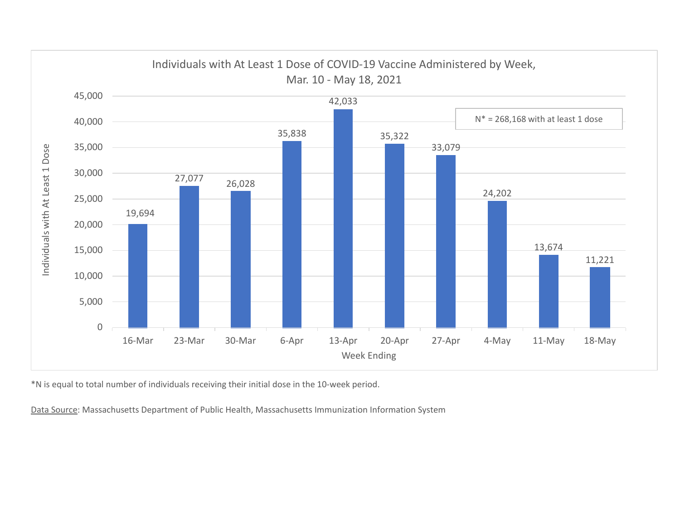

\*N is equal to total number of individuals receiving their initial dose in the 10-week period.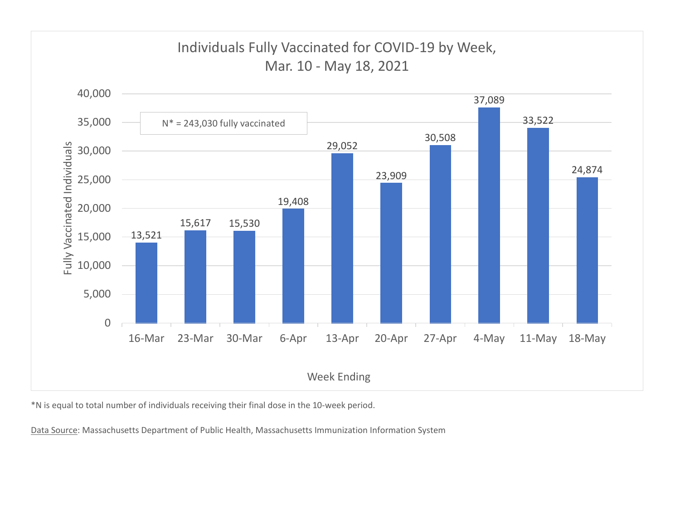

\*N is equal to total number of individuals receiving their final dose in the 10-week period.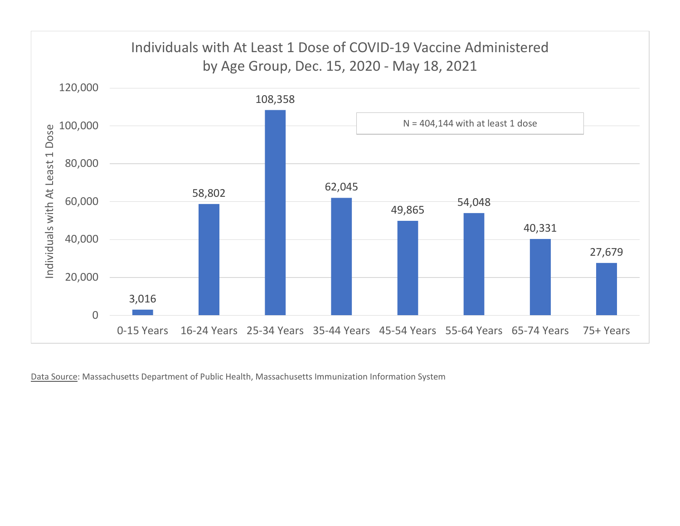![](_page_3_Figure_0.jpeg)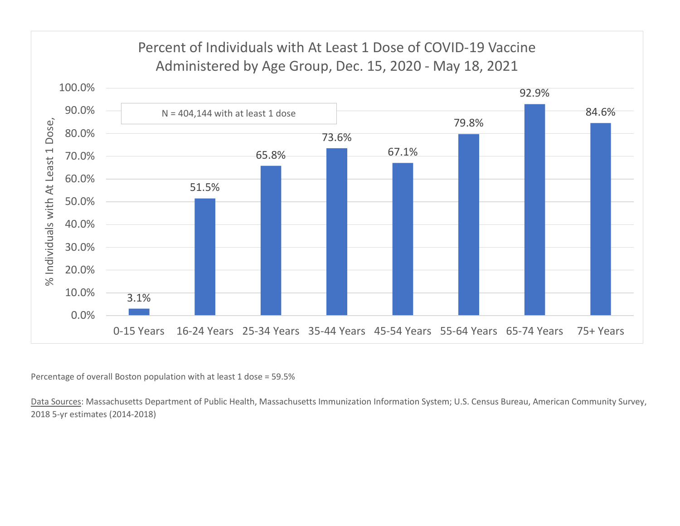## Percent of Individuals with At Least 1 Dose of COVID-19 Vaccine

![](_page_4_Figure_1.jpeg)

Percentage of overall Boston population with at least 1 dose = 59.5%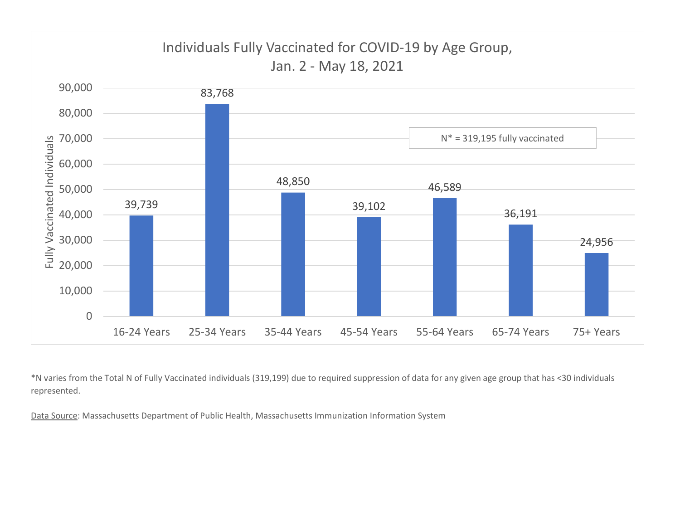![](_page_5_Figure_0.jpeg)

\*N varies from the Total N of Fully Vaccinated individuals (319,199) due to required suppression of data for any given age group that has <30 individuals represented.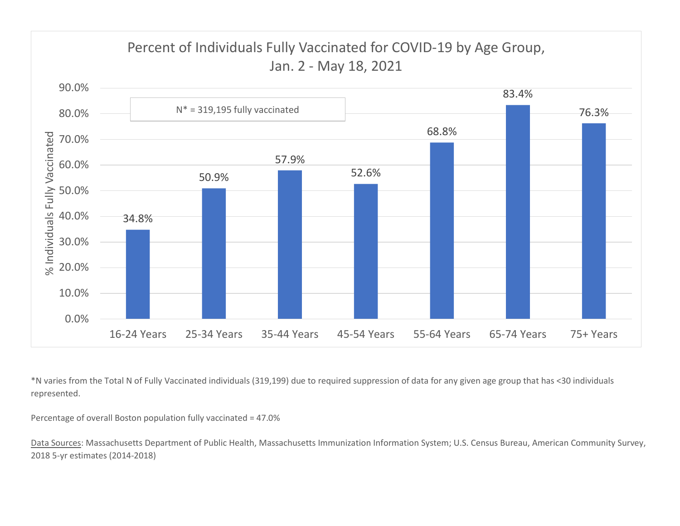![](_page_6_Figure_0.jpeg)

\*N varies from the Total N of Fully Vaccinated individuals (319,199) due to required suppression of data for any given age group that has <30 individuals represented.

Percentage of overall Boston population fully vaccinated = 47.0%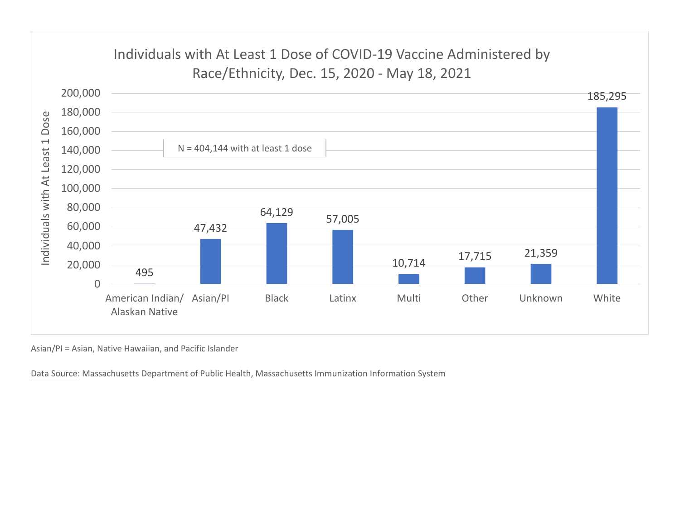![](_page_7_Figure_0.jpeg)

Asian/PI = Asian, Native Hawaiian, and Pacific Islander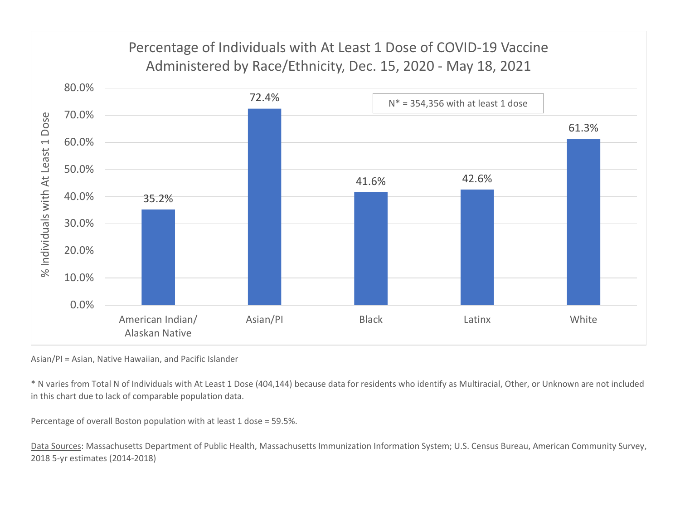![](_page_8_Figure_0.jpeg)

Asian/PI = Asian, Native Hawaiian, and Pacific Islander

\* N varies from Total N of Individuals with At Least 1 Dose (404,144) because data for residents who identify as Multiracial, Other, or Unknown are not included in this chart due to lack of comparable population data.

Percentage of overall Boston population with at least 1 dose = 59.5%.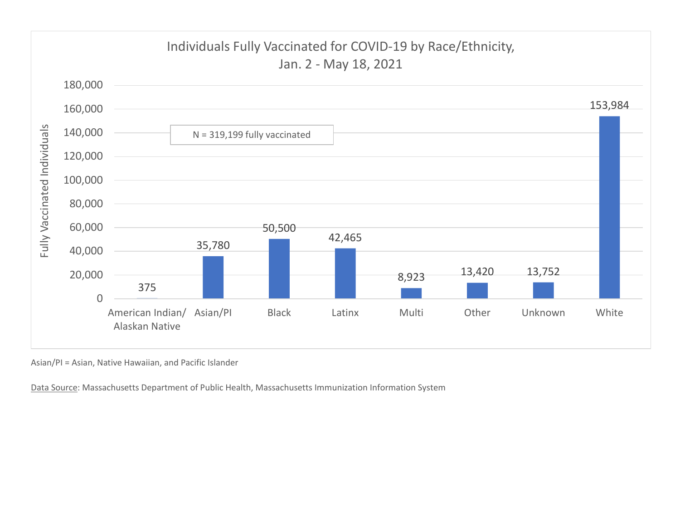![](_page_9_Figure_0.jpeg)

Asian/PI = Asian, Native Hawaiian, and Pacific Islander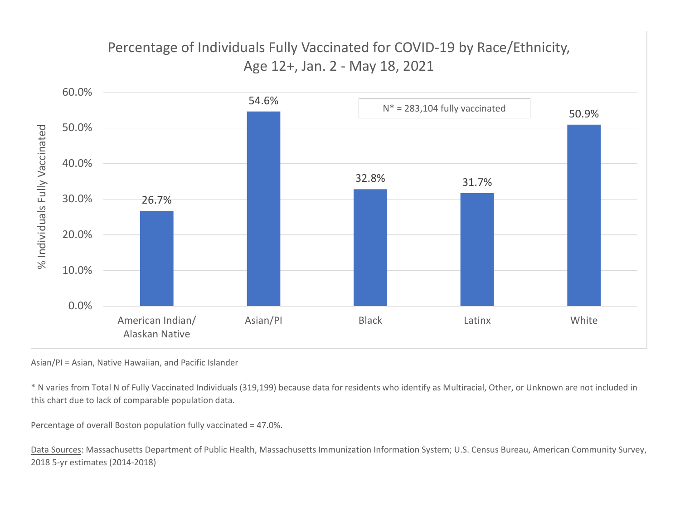![](_page_10_Figure_0.jpeg)

Asian/PI = Asian, Native Hawaiian, and Pacific Islander

\* N varies from Total N of Fully Vaccinated Individuals (319,199) because data for residents who identify as Multiracial, Other, or Unknown are not included in this chart due to lack of comparable population data.

Percentage of overall Boston population fully vaccinated = 47.0%.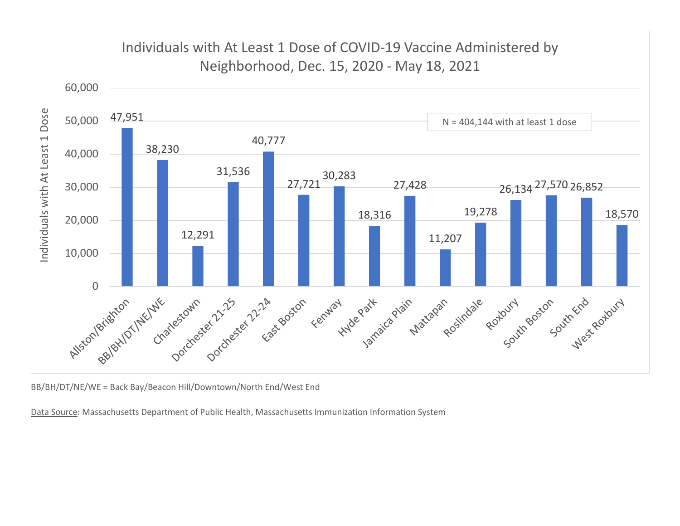![](_page_11_Figure_0.jpeg)

BB/BH/DT/NE/WE = Back Bay/Beacon Hill/Downtown/North End/West End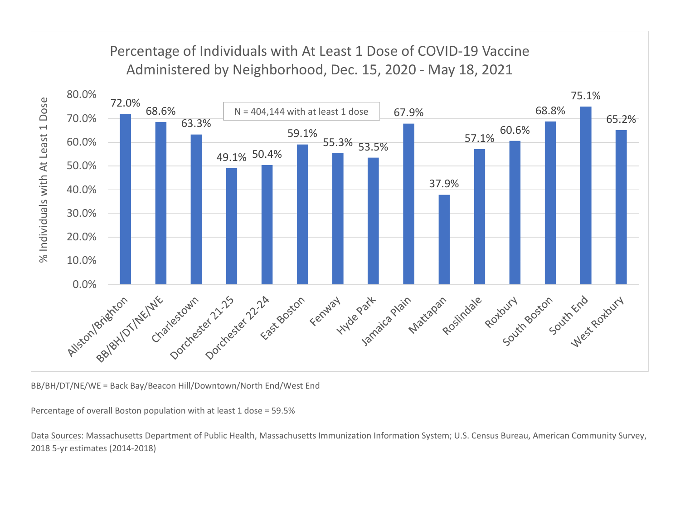![](_page_12_Figure_0.jpeg)

BB/BH/DT/NE/WE = Back Bay/Beacon Hill/Downtown/North End/West End

Percentage of overall Boston population with at least 1 dose = 59.5%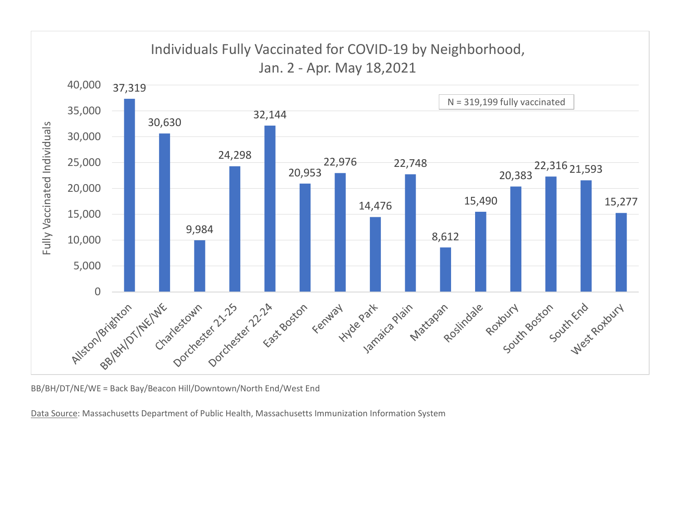![](_page_13_Figure_0.jpeg)

BB/BH/DT/NE/WE = Back Bay/Beacon Hill/Downtown/North End/West End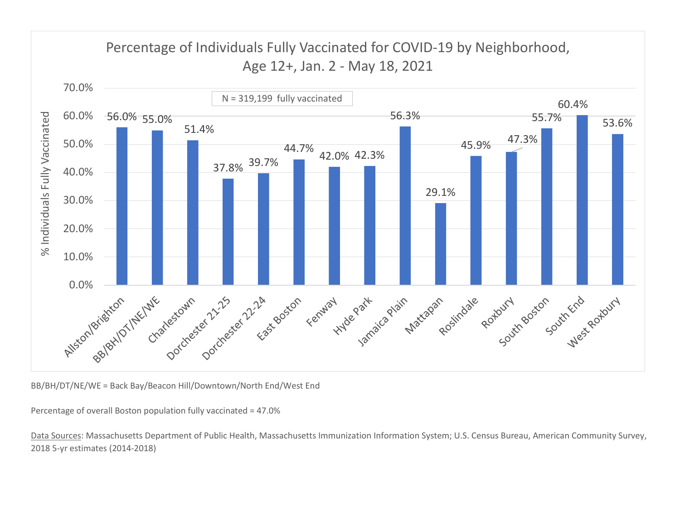![](_page_14_Figure_0.jpeg)

BB/BH/DT/NE/WE = Back Bay/Beacon Hill/Downtown/North End/West End

Percentage of overall Boston population fully vaccinated = 47.0%